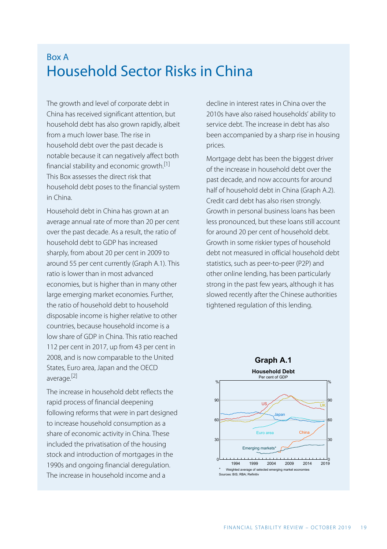# Box A Household Sector Risks in China

The growth and level of corporate debt in China has received significant attention, but household debt has also grown rapidly, albeit from a much lower base. The rise in household debt over the past decade is notable because it can negatively affect both financial stability and economic growth.<sup>[\[1\]](#page-4-0)</sup> This Box assesses the direct risk that household debt poses to the financial system in China.

<span id="page-0-0"></span>Household debt in China has grown at an average annual rate of more than 20 per cent over the past decade. As a result, the ratio of household debt to GDP has increased sharply, from about 20 per cent in 2009 to around 55 per cent currently (Graph A.1). This ratio is lower than in most advanced economies, but is higher than in many other large emerging market economies. Further, the ratio of household debt to household disposable income is higher relative to other countries, because household income is a low share of GDP in China. This ratio reached 112 per cent in 2017, up from 43 per cent in 2008, and is now comparable to the United States, Euro area, Japan and the OECD average. [\[2\]](#page-4-1) 

<span id="page-0-1"></span>The increase in household debt reflects the rapid process of financial deepening following reforms that were in part designed to increase household consumption as a share of economic activity in China. These included the privatisation of the housing stock and introduction of mortgages in the 1990s and ongoing financial deregulation. The increase in household income and a

decline in interest rates in China over the 2010s have also raised households' ability to service debt. The increase in debt has also been accompanied by a sharp rise in housing prices.

Mortgage debt has been the biggest driver of the increase in household debt over the past decade, and now accounts for around half of household debt in China (Graph A.2). Credit card debt has also risen strongly. Growth in personal business loans has been less pronounced, but these loans still account for around 20 per cent of household debt. Growth in some riskier types of household debt not measured in official household debt statistics, such as peer-to-peer (P2P) and other online lending, has been particularly strong in the past few years, although it has slowed recently after the Chinese authorities tightened regulation of this lending.

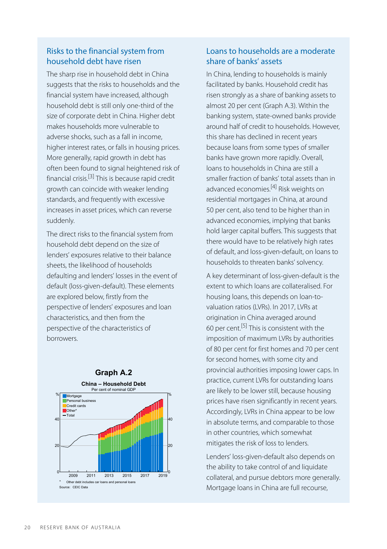## Risks to the financial system from household debt have risen

The sharp rise in household debt in China suggests that the risks to households and the financial system have increased, although household debt is still only one-third of the size of corporate debt in China. Higher debt makes households more vulnerable to adverse shocks, such as a fall in income, higher interest rates, or falls in housing prices. More generally, rapid growth in debt has often been found to signal heightened risk of financial crisis. [\[3\]](#page-4-2) This is because rapid credit growth can coincide with weaker lending standards, and frequently with excessive increases in asset prices, which can reverse suddenly.

<span id="page-1-1"></span><span id="page-1-0"></span>The direct risks to the financial system from household debt depend on the size of lenders' exposures relative to their balance sheets, the likelihood of households defaulting and lenders' losses in the event of default (loss-given-default). These elements are explored below, firstly from the perspective of lenders' exposures and loan characteristics, and then from the perspective of the characteristics of borrowers.

<span id="page-1-2"></span>

## Loans to households are a moderate share of banks' assets

In China, lending to households is mainly facilitated by banks. Household credit has risen strongly as a share of banking assets to almost 20 per cent (Graph A.3). Within the banking system, state-owned banks provide around half of credit to households. However, this share has declined in recent years because loans from some types of smaller banks have grown more rapidly. Overall, loans to households in China are still a smaller fraction of banks' total assets than in advanced economies.<sup>[\[4\]](#page-4-0)</sup> Risk weights on residential mortgages in China, at around 50 per cent, also tend to be higher than in advanced economies, implying that banks hold larger capital buffers. This suggests that there would have to be relatively high rates of default, and loss-given-default, on loans to households to threaten banks' solvency.

A key determinant of loss-given-default is the extent to which loans are collateralised. For housing loans, this depends on loan-tovaluation ratios (LVRs). In 2017, LVRs at origination in China averaged around 60 per cent.<sup>[\[5\]](#page-4-3)</sup> This is consistent with the imposition of maximum LVRs by authorities of 80 per cent for first homes and 70 per cent for second homes, with some city and provincial authorities imposing lower caps. In practice, current LVRs for outstanding loans are likely to be lower still, because housing prices have risen significantly in recent years. Accordingly, LVRs in China appear to be low in absolute terms, and comparable to those in other countries, which somewhat mitigates the risk of loss to lenders.

Lenders' loss-given-default also depends on the ability to take control of and liquidate collateral, and pursue debtors more generally. Mortgage loans in China are full recourse,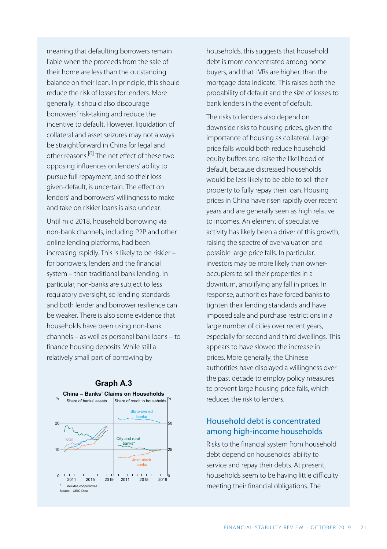meaning that defaulting borrowers remain liable when the proceeds from the sale of their home are less than the outstanding balance on their loan. In principle, this should reduce the risk of losses for lenders. More generally, it should also discourage borrowers' risk-taking and reduce the incentive to default. However, liquidation of collateral and asset seizures may not always be straightforward in China for legal and other reasons.<sup>[\[6\]](#page-4-4)</sup> The net effect of these two opposing influences on lenders' ability to pursue full repayment, and so their lossgiven-default, is uncertain. The effect on lenders' and borrowers' willingness to make and take on riskier loans is also unclear.

<span id="page-2-0"></span>Until mid 2018, household borrowing via non-bank channels, including P2P and other online lending platforms, had been increasing rapidly. This is likely to be riskier – for borrowers, lenders and the financial system – than traditional bank lending. In particular, non-banks are subject to less regulatory oversight, so lending standards and both lender and borrower resilience can be weaker. There is also some evidence that households have been using non-bank channels – as well as personal bank loans – to finance housing deposits. While still a relatively small part of borrowing by



households, this suggests that household debt is more concentrated among home buyers, and that LVRs are higher, than the mortgage data indicate. This raises both the probability of default and the size of losses to bank lenders in the event of default.

The risks to lenders also depend on downside risks to housing prices, given the importance of housing as collateral. Large price falls would both reduce household equity buffers and raise the likelihood of default, because distressed households would be less likely to be able to sell their property to fully repay their loan. Housing prices in China have risen rapidly over recent years and are generally seen as high relative to incomes. An element of speculative activity has likely been a driver of this growth, raising the spectre of overvaluation and possible large price falls. In particular, investors may be more likely than owneroccupiers to sell their properties in a downturn, amplifying any fall in prices. In response, authorities have forced banks to tighten their lending standards and have imposed sale and purchase restrictions in a large number of cities over recent years, especially for second and third dwellings. This appears to have slowed the increase in prices. More generally, the Chinese authorities have displayed a willingness over the past decade to employ policy measures to prevent large housing price falls, which reduces the risk to lenders.

### Household debt is concentrated among high-income households

Risks to the financial system from household debt depend on households' ability to service and repay their debts. At present, households seem to be having little difficulty meeting their financial obligations. The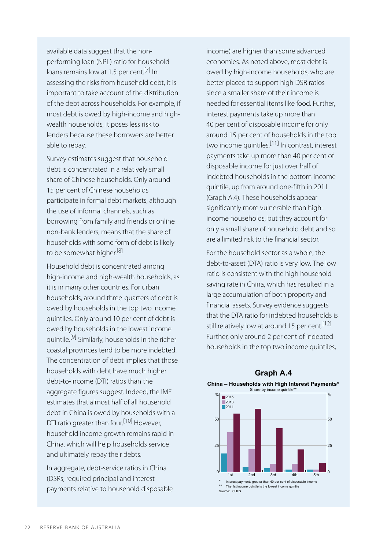<span id="page-3-0"></span>available data suggest that the nonperforming loan (NPL) ratio for household loans remains low at 1.5 per cent.<sup>[\[7\]](#page-4-5)</sup> In assessing the risks from household debt, it is important to take account of the distribution of the debt across households. For example, if most debt is owed by high-income and highwealth households, it poses less risk to lenders because these borrowers are better able to repay.

<span id="page-3-4"></span>Survey estimates suggest that household debt is concentrated in a relatively small share of Chinese households. Only around 15 per cent of Chinese households participate in formal debt markets, although the use of informal channels, such as borrowing from family and friends or online non-bank lenders, means that the share of households with some form of debt is likely to be somewhat higher.<sup>[\[8\]](#page-5-0)</sup>

<span id="page-3-5"></span><span id="page-3-2"></span><span id="page-3-1"></span>Household debt is concentrated among high-income and high-wealth households, as it is in many other countries. For urban households, around three-quarters of debt is owed by households in the top two income quintiles. Only around 10 per cent of debt is owed by households in the lowest income quintile.<sup>[\[9\]](#page-5-1)</sup> Similarly, households in the richer coastal provinces tend to be more indebted. The concentration of debt implies that those households with debt have much higher debt-to-income (DTI) ratios than the aggregate figures suggest. Indeed, the IMF estimates that almost half of all household debt in China is owed by households with a DTI ratio greater than four.<sup>[\[10\]](#page-5-2)</sup> However, household income growth remains rapid in China, which will help households service and ultimately repay their debts.

<span id="page-3-3"></span>In aggregate, debt-service ratios in China (DSRs; required principal and interest payments relative to household disposable income) are higher than some advanced economies. As noted above, most debt is owed by high-income households, who are better placed to support high DSR ratios since a smaller share of their income is needed for essential items like food. Further, interest payments take up more than 40 per cent of disposable income for only around 15 per cent of households in the top two income quintiles. [\[11\]](#page-5-3) In contrast, interest payments take up more than 40 per cent of disposable income for just over half of indebted households in the bottom income quintile, up from around one-fifth in 2011 (Graph A.4). These households appear significantly more vulnerable than highincome households, but they account for only a small share of household debt and so are a limited risk to the financial sector.

For the household sector as a whole, the debt-to-asset (DTA) ratio is very low. The low ratio is consistent with the high household saving rate in China, which has resulted in a large accumulation of both property and financial assets. Survey evidence suggests that the DTA ratio for indebted households is still relatively low at around 15 per cent.<sup>[12]</sup> Further, only around 2 per cent of indebted households in the top two income quintiles,



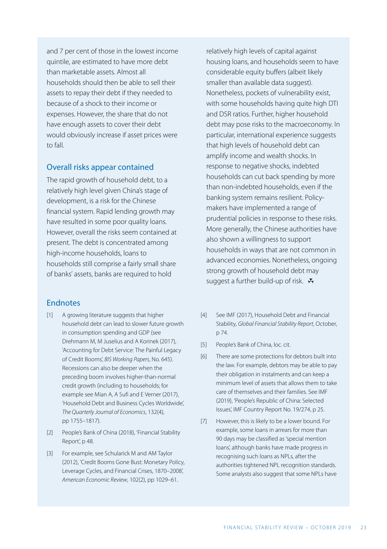and 7 per cent of those in the lowest income quintile, are estimated to have more debt than marketable assets. Almost all households should then be able to sell their assets to repay their debt if they needed to because of a shock to their income or expenses. However, the share that do not have enough assets to cover their debt would obviously increase if asset prices were to fall.

#### Overall risks appear contained

The rapid growth of household debt, to a relatively high level given China's stage of development, is a risk for the Chinese financial system. Rapid lending growth may have resulted in some poor quality loans. However, overall the risks seem contained at present. The debt is concentrated among high-income households, loans to households still comprise a fairly small share of banks' assets, banks are required to hold

#### **Endnotes**

- <span id="page-4-4"></span><span id="page-4-3"></span><span id="page-4-0"></span>A growing literature suggests that higher [\[1\]](#page-0-0) household debt can lead to slower future growth in consumption spending and GDP (see Drehmann M, M Juselius and A Korinek (2017), 'Accounting for Debt Service: The Painful Legacy of Credit Booms', *BIS Working Papers*, No. 645). Recessions can also be deeper when the preceding boom involves higher-than-normal credit growth (including to households; for example see Mian A, A Sufi and E Verner (2017), 'Household Debt and Business Cycles Worldwide', *The Quarterly Journal of Economics*, 132(4), pp 1755–1817).
- <span id="page-4-5"></span><span id="page-4-1"></span>People's Bank of China (2018), 'Financial Stability [\[2\]](#page-0-1) Report', p 48.
- <span id="page-4-2"></span>For example, see Schularick M and AM Taylor [\[3\]](#page-1-0) (2012), 'Credit Booms Gone Bust: Monetary Policy, Leverage Cycles, and Financial Crises, 1870–2008', *American Economic Review*, 102(2), pp 1029–61.

relatively high levels of capital against housing loans, and households seem to have considerable equity buffers (albeit likely smaller than available data suggest). Nonetheless, pockets of vulnerability exist, with some households having quite high DTI and DSR ratios. Further, higher household debt may pose risks to the macroeconomy. In particular, international experience suggests that high levels of household debt can amplify income and wealth shocks. In response to negative shocks, indebted households can cut back spending by more than non-indebted households, even if the banking system remains resilient. Policymakers have implemented a range of prudential policies in response to these risks. More generally, the Chinese authorities have also shown a willingness to support households in ways that are not common in advanced economies. Nonetheless, ongoing strong growth of household debt may suggest a further build-up of risk.  $\mathbf{\ddot{y}}$ 

- See IMF (2017), Household Debt and Financial Stability, *Global Financial Stability Report*, October, p 74.  $[4]$
- [\[5\]](#page-1-2) People's Bank of China, loc. cit.
- There are some protections for debtors built into the law. For example, debtors may be able to pay their obligation in instalments and can keep a minimum level of assets that allows them to take care of themselves and their families. See IMF (2019), 'People's Republic of China: Selected Issues', IMF Country Report No. 19/274, p 25. [\[6\]](#page-2-0)
- However, this is likely to be a lower bound. For example, some loans in arrears for more than 90 days may be classified as 'special mention loans', although banks have made progress in recognising such loans as NPLs, after the authorities tightened NPL recognition standards. Some analysts also suggest that some NPLs have [\[7\]](#page-3-0)